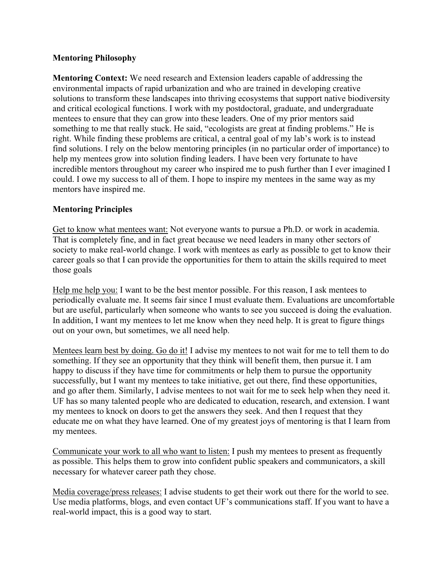## **Mentoring Philosophy**

**Mentoring Context:** We need research and Extension leaders capable of addressing the environmental impacts of rapid urbanization and who are trained in developing creative solutions to transform these landscapes into thriving ecosystems that support native biodiversity and critical ecological functions. I work with my postdoctoral, graduate, and undergraduate mentees to ensure that they can grow into these leaders. One of my prior mentors said something to me that really stuck. He said, "ecologists are great at finding problems." He is right. While finding these problems are critical, a central goal of my lab's work is to instead find solutions. I rely on the below mentoring principles (in no particular order of importance) to help my mentees grow into solution finding leaders. I have been very fortunate to have incredible mentors throughout my career who inspired me to push further than I ever imagined I could. I owe my success to all of them. I hope to inspire my mentees in the same way as my mentors have inspired me.

## **Mentoring Principles**

Get to know what mentees want: Not everyone wants to pursue a Ph.D. or work in academia. That is completely fine, and in fact great because we need leaders in many other sectors of society to make real-world change. I work with mentees as early as possible to get to know their career goals so that I can provide the opportunities for them to attain the skills required to meet those goals

Help me help you: I want to be the best mentor possible. For this reason, I ask mentees to periodically evaluate me. It seems fair since I must evaluate them. Evaluations are uncomfortable but are useful, particularly when someone who wants to see you succeed is doing the evaluation. In addition, I want my mentees to let me know when they need help. It is great to figure things out on your own, but sometimes, we all need help.

Mentees learn best by doing. Go do it! I advise my mentees to not wait for me to tell them to do something. If they see an opportunity that they think will benefit them, then pursue it. I am happy to discuss if they have time for commitments or help them to pursue the opportunity successfully, but I want my mentees to take initiative, get out there, find these opportunities, and go after them. Similarly, I advise mentees to not wait for me to seek help when they need it. UF has so many talented people who are dedicated to education, research, and extension. I want my mentees to knock on doors to get the answers they seek. And then I request that they educate me on what they have learned. One of my greatest joys of mentoring is that I learn from my mentees.

Communicate your work to all who want to listen: I push my mentees to present as frequently as possible. This helps them to grow into confident public speakers and communicators, a skill necessary for whatever career path they chose.

Media coverage/press releases: I advise students to get their work out there for the world to see. Use media platforms, blogs, and even contact UF's communications staff. If you want to have a real-world impact, this is a good way to start.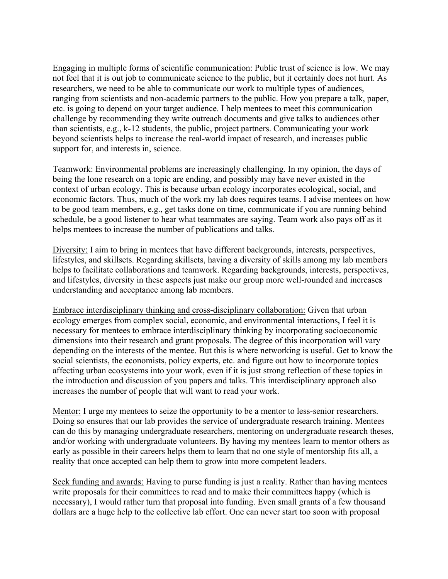Engaging in multiple forms of scientific communication: Public trust of science is low. We may not feel that it is out job to communicate science to the public, but it certainly does not hurt. As researchers, we need to be able to communicate our work to multiple types of audiences, ranging from scientists and non-academic partners to the public. How you prepare a talk, paper, etc. is going to depend on your target audience. I help mentees to meet this communication challenge by recommending they write outreach documents and give talks to audiences other than scientists, e.g., k-12 students, the public, project partners. Communicating your work beyond scientists helps to increase the real-world impact of research, and increases public support for, and interests in, science.

Teamwork: Environmental problems are increasingly challenging. In my opinion, the days of being the lone research on a topic are ending, and possibly may have never existed in the context of urban ecology. This is because urban ecology incorporates ecological, social, and economic factors. Thus, much of the work my lab does requires teams. I advise mentees on how to be good team members, e.g., get tasks done on time, communicate if you are running behind schedule, be a good listener to hear what teammates are saying. Team work also pays off as it helps mentees to increase the number of publications and talks.

Diversity: I aim to bring in mentees that have different backgrounds, interests, perspectives, lifestyles, and skillsets. Regarding skillsets, having a diversity of skills among my lab members helps to facilitate collaborations and teamwork. Regarding backgrounds, interests, perspectives, and lifestyles, diversity in these aspects just make our group more well-rounded and increases understanding and acceptance among lab members.

Embrace interdisciplinary thinking and cross-disciplinary collaboration: Given that urban ecology emerges from complex social, economic, and environmental interactions, I feel it is necessary for mentees to embrace interdisciplinary thinking by incorporating socioeconomic dimensions into their research and grant proposals. The degree of this incorporation will vary depending on the interests of the mentee. But this is where networking is useful. Get to know the social scientists, the economists, policy experts, etc. and figure out how to incorporate topics affecting urban ecosystems into your work, even if it is just strong reflection of these topics in the introduction and discussion of you papers and talks. This interdisciplinary approach also increases the number of people that will want to read your work.

Mentor: I urge my mentees to seize the opportunity to be a mentor to less-senior researchers. Doing so ensures that our lab provides the service of undergraduate research training. Mentees can do this by managing undergraduate researchers, mentoring on undergraduate research theses, and/or working with undergraduate volunteers. By having my mentees learn to mentor others as early as possible in their careers helps them to learn that no one style of mentorship fits all, a reality that once accepted can help them to grow into more competent leaders.

Seek funding and awards: Having to purse funding is just a reality. Rather than having mentees write proposals for their committees to read and to make their committees happy (which is necessary), I would rather turn that proposal into funding. Even small grants of a few thousand dollars are a huge help to the collective lab effort. One can never start too soon with proposal